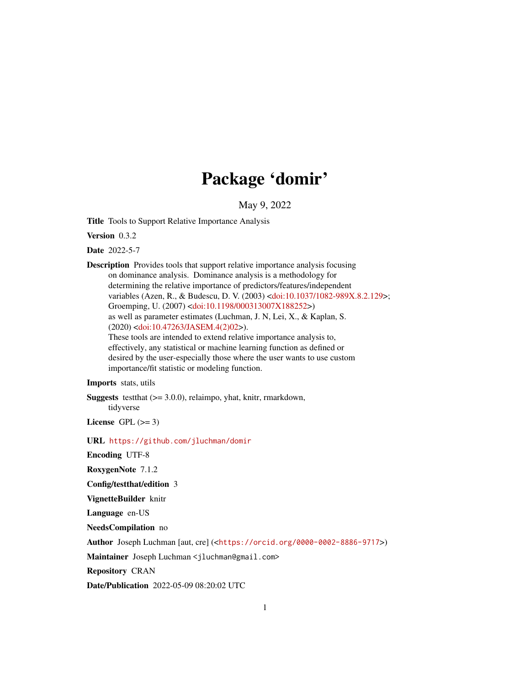## Package 'domir'

May 9, 2022

<span id="page-0-0"></span>Title Tools to Support Relative Importance Analysis

Version 0.3.2

Date 2022-5-7

Description Provides tools that support relative importance analysis focusing on dominance analysis. Dominance analysis is a methodology for determining the relative importance of predictors/features/independent variables (Azen, R., & Budescu, D. V. (2003) [<doi:10.1037/1082-989X.8.2.129>](https://doi.org/10.1037/1082-989X.8.2.129); Groemping, U. (2007) [<doi:10.1198/000313007X188252>](https://doi.org/10.1198/000313007X188252)) as well as parameter estimates (Luchman, J. N, Lei, X., & Kaplan, S. (2020) [<doi:10.47263/JASEM.4\(2\)02>](https://doi.org/10.47263/JASEM.4(2)02)). These tools are intended to extend relative importance analysis to, effectively, any statistical or machine learning function as defined or desired by the user-especially those where the user wants to use custom importance/fit statistic or modeling function.

#### Imports stats, utils

**Suggests** test that  $(>= 3.0.0)$ , relaimpo, yhat, knitr, rmarkdown, tidyverse

License GPL  $(>= 3)$ 

#### URL <https://github.com/jluchman/domir>

Encoding UTF-8

RoxygenNote 7.1.2

#### Config/testthat/edition 3

VignetteBuilder knitr

Language en-US

NeedsCompilation no

Author Joseph Luchman [aut, cre] (<<https://orcid.org/0000-0002-8886-9717>>)

Maintainer Joseph Luchman <jluchman@gmail.com>

Repository CRAN

Date/Publication 2022-05-09 08:20:02 UTC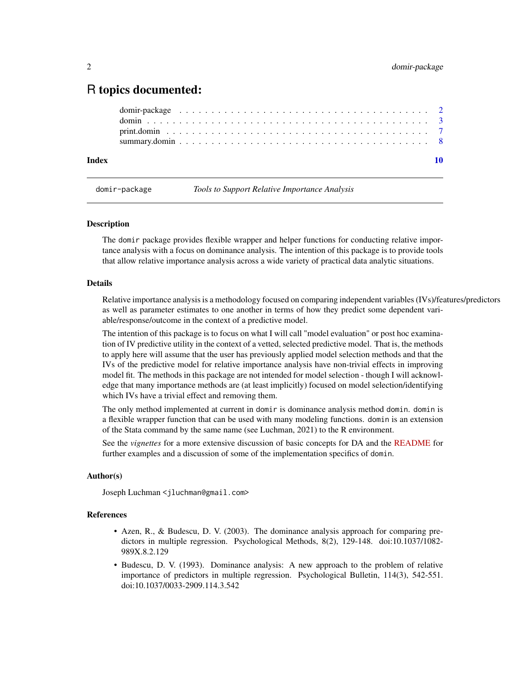### <span id="page-1-0"></span>R topics documented:

| Index |  |  |
|-------|--|--|
|       |  |  |
|       |  |  |
|       |  |  |
|       |  |  |

domir-package *Tools to Support Relative Importance Analysis*

#### Description

The domir package provides flexible wrapper and helper functions for conducting relative importance analysis with a focus on dominance analysis. The intention of this package is to provide tools that allow relative importance analysis across a wide variety of practical data analytic situations.

#### Details

Relative importance analysis is a methodology focused on comparing independent variables (IVs)/features/predictors as well as parameter estimates to one another in terms of how they predict some dependent variable/response/outcome in the context of a predictive model.

The intention of this package is to focus on what I will call "model evaluation" or post hoc examination of IV predictive utility in the context of a vetted, selected predictive model. That is, the methods to apply here will assume that the user has previously applied model selection methods and that the IVs of the predictive model for relative importance analysis have non-trivial effects in improving model fit. The methods in this package are not intended for model selection - though I will acknowledge that many importance methods are (at least implicitly) focused on model selection/identifying which IVs have a trivial effect and removing them.

The only method implemented at current in domir is dominance analysis method domin. domin is a flexible wrapper function that can be used with many modeling functions. domin is an extension of the Stata command by the same name (see Luchman, 2021) to the R environment.

See the *vignettes* for a more extensive discussion of basic concepts for DA and the [README](https://github.com/jluchman/domir#readme) for further examples and a discussion of some of the implementation specifics of domin.

#### Author(s)

Joseph Luchman <jluchman@gmail.com>

#### References

- Azen, R., & Budescu, D. V. (2003). The dominance analysis approach for comparing predictors in multiple regression. Psychological Methods, 8(2), 129-148. doi:10.1037/1082- 989X.8.2.129
- Budescu, D. V. (1993). Dominance analysis: A new approach to the problem of relative importance of predictors in multiple regression. Psychological Bulletin, 114(3), 542-551. doi:10.1037/0033-2909.114.3.542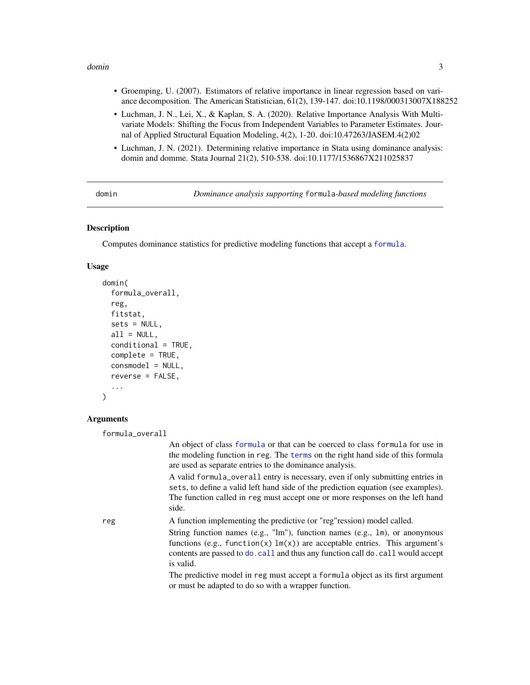#### <span id="page-2-0"></span>domin 3

- Groemping, U. (2007). Estimators of relative importance in linear regression based on variance decomposition. The American Statistician, 61(2), 139-147. doi:10.1198/000313007X188252
- Luchman, J. N., Lei, X., & Kaplan, S. A. (2020). Relative Importance Analysis With Multivariate Models: Shifting the Focus from Independent Variables to Parameter Estimates. Journal of Applied Structural Equation Modeling, 4(2), 1-20. doi:10.47263/JASEM.4(2)02
- Luchman, J. N. (2021). Determining relative importance in Stata using dominance analysis: domin and domme. Stata Journal 21(2), 510-538. doi:10.1177/1536867X211025837

domin *Dominance analysis supporting* formula*-based modeling functions*

#### Description

Computes dominance statistics for predictive modeling functions that accept a [formula](#page-0-0).

#### Usage

```
domin(
  formula_overall,
  reg,
  fitstat,
  sets = NULL,
  all = NULL,conditional = TRUE,
  complete = TRUE,
  consmodel = NULL,
  reverse = FALSE,
  ...
\lambda
```
#### Arguments

```
formula_overall
```
An object of class [formula](#page-0-0) or that can be coerced to class formula for use in the modeling function in reg. The [terms](#page-0-0) on the right hand side of this formula are used as separate entries to the dominance analysis. A valid formula\_overall entry is necessary, even if only submitting entries in sets, to define a valid left hand side of the prediction equation (see examples). The function called in reg must accept one or more responses on the left hand side. reg A function implementing the predictive (or "reg"ression) model called. String function names (e.g., "lm"), function names (e.g., lm), or anonymous functions (e.g., function(x)  $lm(x)$  are acceptable entries. This argument's contents are passed to [do.call](#page-0-0) and thus any function call do.call would accept is valid.

The predictive model in reg must accept a formula object as its first argument or must be adapted to do so with a wrapper function.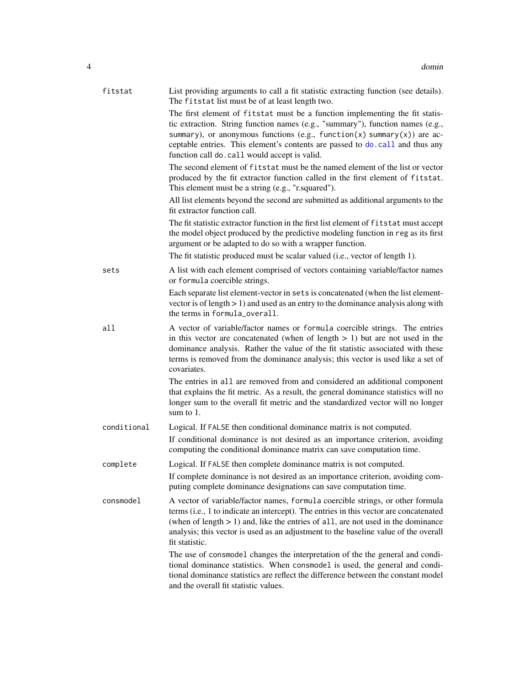<span id="page-3-0"></span>

| fitstat     | List providing arguments to call a fit statistic extracting function (see details).<br>The fitstat list must be of at least length two.                                                                                                                                                                                                                                     |
|-------------|-----------------------------------------------------------------------------------------------------------------------------------------------------------------------------------------------------------------------------------------------------------------------------------------------------------------------------------------------------------------------------|
|             | The first element of fitstat must be a function implementing the fit statis-<br>tic extraction. String function names (e.g., "summary"), function names (e.g.,<br>summary), or anonymous functions (e.g., function(x) summary(x)) are ac-<br>ceptable entries. This element's contents are passed to do. call and thus any<br>function call do. call would accept is valid. |
|             | The second element of fitstat must be the named element of the list or vector<br>produced by the fit extractor function called in the first element of fitstat.<br>This element must be a string (e.g., "r.squared").                                                                                                                                                       |
|             | All list elements beyond the second are submitted as additional arguments to the<br>fit extractor function call.                                                                                                                                                                                                                                                            |
|             | The fit statistic extractor function in the first list element of fitstat must accept<br>the model object produced by the predictive modeling function in reg as its first<br>argument or be adapted to do so with a wrapper function.                                                                                                                                      |
|             | The fit statistic produced must be scalar valued (i.e., vector of length 1).                                                                                                                                                                                                                                                                                                |
| sets        | A list with each element comprised of vectors containing variable/factor names<br>or formula coercible strings.                                                                                                                                                                                                                                                             |
|             | Each separate list element-vector in sets is concatenated (when the list element-<br>vector is of length $> 1$ ) and used as an entry to the dominance analysis along with<br>the terms in formula_overall.                                                                                                                                                                 |
| a11         | A vector of variable/factor names or formula coercible strings. The entries<br>in this vector are concatenated (when of length $> 1$ ) but are not used in the<br>dominance analysis. Rather the value of the fit statistic associated with these<br>terms is removed from the dominance analysis; this vector is used like a set of<br>covariates.                         |
|             | The entries in all are removed from and considered an additional component<br>that explains the fit metric. As a result, the general dominance statistics will no<br>longer sum to the overall fit metric and the standardized vector will no longer<br>sum to $1$ .                                                                                                        |
| conditional | Logical. If FALSE then conditional dominance matrix is not computed.<br>If conditional dominance is not desired as an importance criterion, avoiding<br>computing the conditional dominance matrix can save computation time.                                                                                                                                               |
| complete    | Logical. If FALSE then complete dominance matrix is not computed.                                                                                                                                                                                                                                                                                                           |
|             | If complete dominance is not desired as an importance criterion, avoiding com-<br>puting complete dominance designations can save computation time.                                                                                                                                                                                                                         |
| consmodel   | A vector of variable/factor names, formula coercible strings, or other formula<br>terms (i.e., 1 to indicate an intercept). The entries in this vector are concatenated<br>(when of length $> 1$ ) and, like the entries of all, are not used in the dominance<br>analysis; this vector is used as an adjustment to the baseline value of the overall<br>fit statistic.     |
|             | The use of consmodel changes the interpretation of the the general and condi-<br>tional dominance statistics. When consmodel is used, the general and condi-<br>tional dominance statistics are reflect the difference between the constant model<br>and the overall fit statistic values.                                                                                  |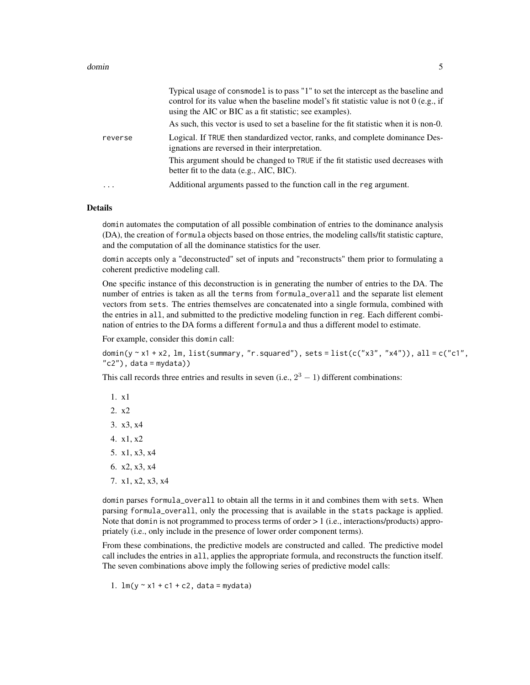#### domin 5 and 5 and 5 and 5 and 5 and 5 and 5 and 5 and 5 and 5 and 5 and 5 and 5 and 5 and 5 and 5 and 5 and 5 and 5 and 5 and 5 and 5 and 5 and 5 and 5 and 5 and 5 and 5 and 5 and 5 and 5 and 5 and 5 and 5 and 5 and 5 and

|          | Typical usage of consmodel is to pass "1" to set the intercept as the baseline and<br>control for its value when the baseline model's fit statistic value is not $0$ (e.g., if<br>using the AIC or BIC as a fit statistic; see examples).<br>As such, this vector is used to set a baseline for the fit statistic when it is non-0. |
|----------|-------------------------------------------------------------------------------------------------------------------------------------------------------------------------------------------------------------------------------------------------------------------------------------------------------------------------------------|
| reverse  | Logical. If TRUE then standardized vector, ranks, and complete dominance Des-<br>ignations are reversed in their interpretation.                                                                                                                                                                                                    |
|          | This argument should be changed to TRUE if the fit statistic used decreases with<br>better fit to the data (e.g., AIC, BIC).                                                                                                                                                                                                        |
| $\cdots$ | Additional arguments passed to the function call in the reg argument.                                                                                                                                                                                                                                                               |

#### Details

domin automates the computation of all possible combination of entries to the dominance analysis (DA), the creation of formula objects based on those entries, the modeling calls/fit statistic capture, and the computation of all the dominance statistics for the user.

domin accepts only a "deconstructed" set of inputs and "reconstructs" them prior to formulating a coherent predictive modeling call.

One specific instance of this deconstruction is in generating the number of entries to the DA. The number of entries is taken as all the terms from formula\_overall and the separate list element vectors from sets. The entries themselves are concatenated into a single formula, combined with the entries in all, and submitted to the predictive modeling function in reg. Each different combination of entries to the DA forms a different formula and thus a different model to estimate.

For example, consider this domin call:

domin(y  $\sim$  x1 + x2, lm, list(summary, "r.squared"), sets = list(c("x3", "x4")), all = c("c1",  $"c2"$ ), data = mydata))

This call records three entries and results in seven (i.e.,  $2^3 - 1$ ) different combinations:

1. x1 2. x2 3. x3, x4 4. x1, x2 5. x1, x3, x4 6. x2, x3, x4 7. x1, x2, x3, x4

domin parses formula\_overall to obtain all the terms in it and combines them with sets. When parsing formula\_overall, only the processing that is available in the stats package is applied. Note that domin is not programmed to process terms of order > 1 (i.e., interactions/products) appropriately (i.e., only include in the presence of lower order component terms).

From these combinations, the predictive models are constructed and called. The predictive model call includes the entries in all, applies the appropriate formula, and reconstructs the function itself. The seven combinations above imply the following series of predictive model calls:

1.  $lm(y \sim x1 + c1 + c2, data = mydata)$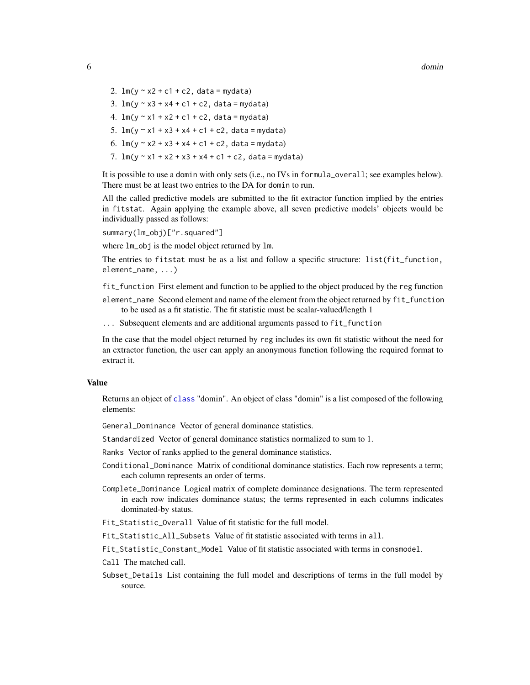- <span id="page-5-0"></span>2.  $lm(y \sim x^2 + c^1 + c^2, data = mydata)$
- 3.  $lm(y \sim x3 + x4 + c1 + c2, data = mydata)$
- 4.  $lm(y \sim x1 + x2 + c1 + c2$ , data = mydata)
- 5.  $\text{Im}(y \sim x1 + x3 + x4 + c1 + c2$ , data = mydata)
- 6.  $\text{Im}(y \sim x^2 + x^3 + x^4 + c^1 + c^2)$ , data = mydata)
- 7.  $lm(y \sim x1 + x2 + x3 + x4 + c1 + c2$ , data = mydata)

It is possible to use a domin with only sets (i.e., no IVs in formula\_overall; see examples below). There must be at least two entries to the DA for domin to run.

All the called predictive models are submitted to the fit extractor function implied by the entries in fitstat. Again applying the example above, all seven predictive models' objects would be individually passed as follows:

summary(lm\_obj)["r.squared"]

where lm\_obj is the model object returned by lm.

The entries to fitstat must be as a list and follow a specific structure: list(fit\_function, element\_name, ...)

fit\_function First element and function to be applied to the object produced by the reg function

element\_name Second element and name of the element from the object returned by fit\_function to be used as a fit statistic. The fit statistic must be scalar-valued/length 1

... Subsequent elements and are additional arguments passed to fit\_function

In the case that the model object returned by reg includes its own fit statistic without the need for an extractor function, the user can apply an anonymous function following the required format to extract it.

#### Value

Returns an object of [class](#page-0-0) "domin". An object of class "domin" is a list composed of the following elements:

General\_Dominance Vector of general dominance statistics.

Standardized Vector of general dominance statistics normalized to sum to 1.

Ranks Vector of ranks applied to the general dominance statistics.

- Conditional\_Dominance Matrix of conditional dominance statistics. Each row represents a term; each column represents an order of terms.
- Complete\_Dominance Logical matrix of complete dominance designations. The term represented in each row indicates dominance status; the terms represented in each columns indicates dominated-by status.
- Fit\_Statistic\_Overall Value of fit statistic for the full model.
- Fit\_Statistic\_All\_Subsets Value of fit statistic associated with terms in all.

Fit\_Statistic\_Constant\_Model Value of fit statistic associated with terms in consmodel.

- Call The matched call.
- Subset\_Details List containing the full model and descriptions of terms in the full model by source.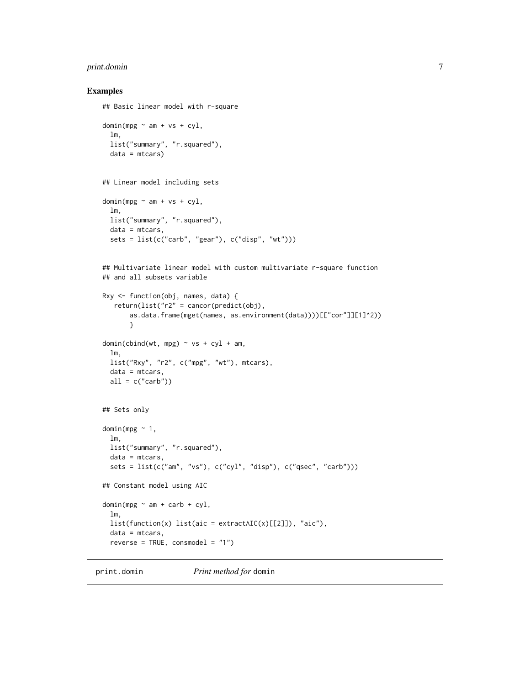#### <span id="page-6-0"></span>print.domin 7

#### Examples

```
## Basic linear model with r-square
```

```
domin(mpg \sim am + vs + cyl,lm,
  list("summary", "r.squared"),
  data = mtcars)
## Linear model including sets
domin(mpg \sim am + vs + cyl,lm,
  list("summary", "r.squared"),
 data = mtcars,
  sets = list(c("carb", "gear"), c("disp", "wt")))
## Multivariate linear model with custom multivariate r-square function
## and all subsets variable
Rxy <- function(obj, names, data) {
   return(list("r2" = cancer(predict(obj),as.data.frame(mget(names, as.environment(data))))[["cor"]][1]^2))
       }
domin(cbind(wt, mpg) \sim vs + cyl + am,lm,
  list("Rxy", "r2", c("mpg", "wt"), mtcars),
  data = mtcars,
  all = c("carb"))## Sets only
domin(mpg ~ 1,
  lm,
  list("summary", "r.squared"),
  data = mtcars,
  sets = list(c("am", "vs"), c("cyl", "disp"), c("qsec", "carb"))## Constant model using AIC
domin(mpg \sim am + carb + cyl,lm,
  list(function(x) list(aic = extractAIC(x)[[2]]), "aic"),
  data = mtcars,
  reverse = TRUE, consmodel = "1")
```
print.domin *Print method for* domin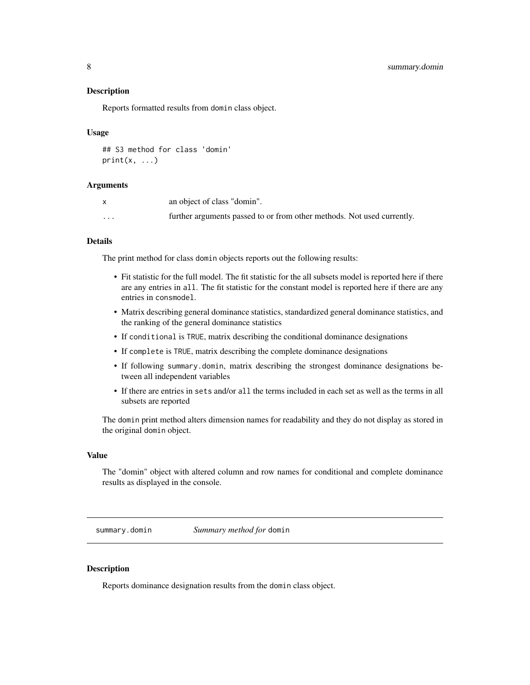#### <span id="page-7-0"></span>**Description**

Reports formatted results from domin class object.

#### Usage

```
## S3 method for class 'domin'
print(x, \ldots)
```
#### Arguments

|                      | an object of class "domin".                                            |
|----------------------|------------------------------------------------------------------------|
| $\ddot{\phantom{0}}$ | further arguments passed to or from other methods. Not used currently. |

#### Details

The print method for class domin objects reports out the following results:

- Fit statistic for the full model. The fit statistic for the all subsets model is reported here if there are any entries in all. The fit statistic for the constant model is reported here if there are any entries in consmodel.
- Matrix describing general dominance statistics, standardized general dominance statistics, and the ranking of the general dominance statistics
- If conditional is TRUE, matrix describing the conditional dominance designations
- If complete is TRUE, matrix describing the complete dominance designations
- If following summary.domin, matrix describing the strongest dominance designations between all independent variables
- If there are entries in sets and/or all the terms included in each set as well as the terms in all subsets are reported

The domin print method alters dimension names for readability and they do not display as stored in the original domin object.

#### Value

The "domin" object with altered column and row names for conditional and complete dominance results as displayed in the console.

summary.domin *Summary method for* domin

#### **Description**

Reports dominance designation results from the domin class object.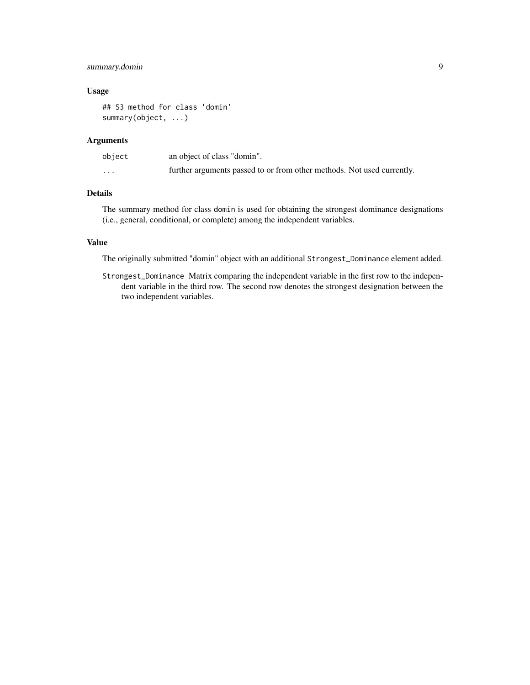#### summary.domin 9

#### Usage

```
## S3 method for class 'domin'
summary(object, ...)
```
#### Arguments

| object               | an object of class "domin".                                            |
|----------------------|------------------------------------------------------------------------|
| $\ddot{\phantom{0}}$ | further arguments passed to or from other methods. Not used currently. |

#### Details

The summary method for class domin is used for obtaining the strongest dominance designations (i.e., general, conditional, or complete) among the independent variables.

#### Value

The originally submitted "domin" object with an additional Strongest\_Dominance element added.

Strongest\_Dominance Matrix comparing the independent variable in the first row to the independent variable in the third row. The second row denotes the strongest designation between the two independent variables.